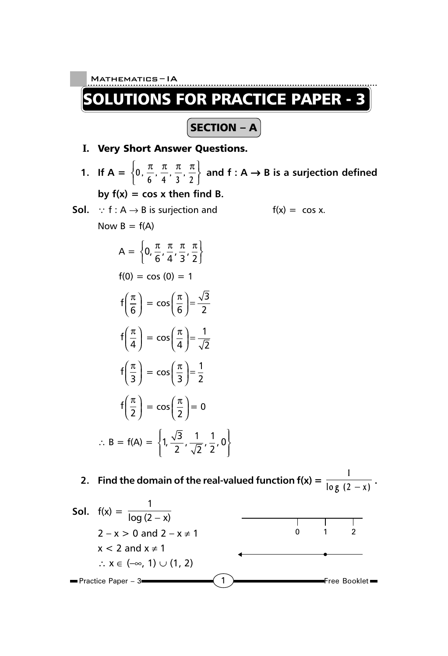$\vert$  SECTION – A $\vert$ 

## **I.** Very Short Answer Questions.

**1.** If  $A = \left\{0, \frac{\pi}{6}, \frac{\pi}{4}, \frac{\pi}{3}, \frac{\pi}{2}\right\}$  and  $f : A \rightarrow B$  is a surjection defined by  $f(x) = \cos x$  then find B.

**Sol.**  $\because$  f : A  $\rightarrow$  B is surjection and f(x) = cos x. Now  $B = f(A)$  $A = \left\{ 0, \frac{\pi}{6}, \frac{\pi}{4}, \frac{\pi}{3}, \frac{\pi}{2} \right\}$  $f(0) = \cos(0) = 1$ 

$$
f\left(\frac{\pi}{6}\right) = \cos\left(\frac{\pi}{6}\right) = \frac{\sqrt{3}}{2}
$$
\n
$$
f\left(\frac{\pi}{4}\right) = \cos\left(\frac{\pi}{4}\right) = \frac{1}{\sqrt{2}}
$$
\n
$$
f\left(\frac{\pi}{3}\right) = \cos\left(\frac{\pi}{3}\right) = \frac{1}{2}
$$
\n
$$
f\left(\frac{\pi}{2}\right) = \cos\left(\frac{\pi}{3}\right) = \frac{1}{2}
$$
\n
$$
f\left(\frac{\pi}{2}\right) = \cos\left(\frac{\pi}{2}\right) = 0
$$
\n
$$
\therefore B = f(A) = \left\{1, \frac{\sqrt{3}}{2}, \frac{1}{\sqrt{2}}, \frac{1}{2}, 0\right\}
$$

**2.** Find the domain of the real-valued function  $f(x) = \frac{1}{\log (2 - x)}$ .

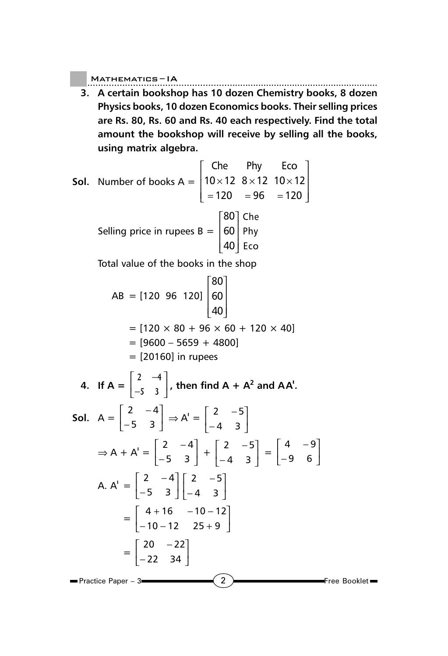**3. A certain bookshop has 10 dozen Chemistry books, 8 dozen Physics books, 10 dozen Economics books. Their selling prices are Rs. 80, Rs. 60 and Rs. 40 each respectively. Find the total amount the bookshop will receive by selling all the books, using matrix algebra.**

**Sol.** Number of books 
$$
A = \begin{bmatrix} \text{Che} & \text{Phy} & \text{Eco} \\ 10 \times 12 & 8 \times 12 & 10 \times 12 \\ = 120 & = 96 & = 120 \end{bmatrix}
$$

\nSelling price in rupees  $B = \begin{bmatrix} 80 \\ 60 \\ 40 \end{bmatrix}$   $\begin{bmatrix} \text{Che} \\ \text{Phy} \\ \text{Eco} \end{bmatrix}$ 

Total value of the books in the shop

$$
AB = [120 96 120] \begin{bmatrix} 80 \\ 60 \\ 40 \end{bmatrix}
$$
  
= [120 × 80 + 96 × 60 + 120 × 40]  
= [9600 - 5659 + 4800]  
= [20160] in rupees

4. If 
$$
A = \begin{bmatrix} 2 & -4 \ -5 & 3 \end{bmatrix}
$$
, then find  $A + A^2$  and  $AA^1$ .  
\n5ol.  $A = \begin{bmatrix} 2 & -4 \ -5 & 3 \end{bmatrix} \Rightarrow A^1 = \begin{bmatrix} 2 & -5 \ -4 & 3 \end{bmatrix}$   
\n $\Rightarrow A + A^1 = \begin{bmatrix} 2 & -4 \ -5 & 3 \end{bmatrix} + \begin{bmatrix} 2 & -5 \ -4 & 3 \end{bmatrix} = \begin{bmatrix} 4 & -9 \ -9 & 6 \end{bmatrix}$   
\nA.  $A^1 = \begin{bmatrix} 2 & -4 \ -5 & 3 \end{bmatrix} \begin{bmatrix} 2 & -5 \ -4 & 3 \end{bmatrix}$   
\n $= \begin{bmatrix} 4 + 16 & -10 - 12 \ -10 - 12 & 25 + 9 \end{bmatrix}$   
\n $= \begin{bmatrix} 20 & -22 \ -22 & 34 \end{bmatrix}$   
\n $=$  Practice Paper - 3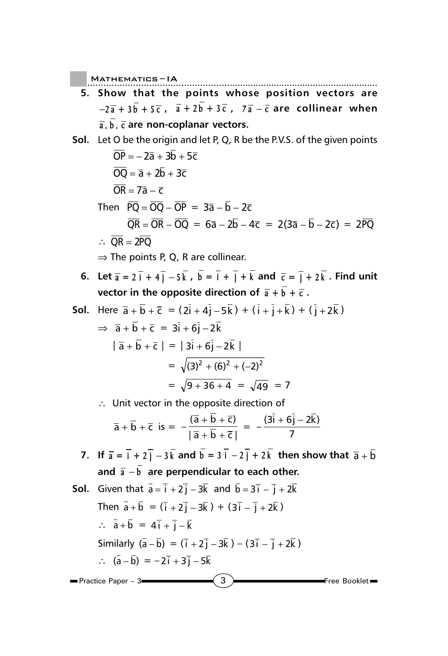- **5. Show that the points whose position vectors are**  $-2\overline{a} + 3\overline{b} + 5\overline{c}$ ,  $\overline{a} + 2\overline{b} + 3\overline{c}$ ,  $7\overline{a} - \overline{c}$  are collinear when **a,b, c are non-coplanar vectors.**
- **Sol.** Let O be the origin and let P, Q, R be the P.V.S. of the given points  $\overline{OP}$  =  $- 2\overline{a} + 3\overline{b} + 5\overline{c}$  $\overline{OO} = \overline{a} + 2\overline{b} + 3\overline{c}$  $\overline{OR} = 7\overline{a} - \overline{c}$ Then  $\overline{PO} = \overline{OO} - \overline{OP} = 3\overline{a} - \overline{b} - 2\overline{c}$  $\overline{OR} = \overline{OR} - \overline{OO} = 6\overline{a} - 2\overline{b} - 4\overline{c} = 2(3\overline{a} - \overline{b} - 2\overline{c}) = 2\overline{PO}$ ∴  $\overline{OR} = 2\overline{PO}$

 $\Rightarrow$  The points P, Q, R are collinear.

**6.** Let  $\overline{a} = 2 \overline{i} + 4 \overline{j} - 5 \overline{k}$ ,  $\overline{b} = \overline{i} + \overline{j} + \overline{k}$  and  $\overline{c} = \overline{j} + 2 \overline{k}$ . Find unit **vector in the opposite direction of**  $\overline{a} + \overline{b} + \overline{c}$ **.** 

**Sol.** Here 
$$
\bar{a} + \bar{b} + \bar{c} = (2\bar{i} + 4\bar{j} - 5\bar{k}) + (\bar{i} + \bar{j} + \bar{k}) + (\bar{j} + 2\bar{k})
$$

\n $\Rightarrow \bar{a} + \bar{b} + \bar{c} = 3\bar{i} + 6\bar{j} - 2\bar{k}$ 

\n
$$
|\bar{a} + \bar{b} + \bar{c}| = |\bar{3}\bar{i} + 6\bar{j} - 2\bar{k}|
$$

\n
$$
= \sqrt{(3)^2 + (6)^2 + (-2)^2}
$$

\n
$$
= \sqrt{9 + 36 + 4} = \sqrt{49} = 7
$$

∴ Unit vector in the opposite direction of

$$
\overline{a} + \overline{b} + \overline{c} \quad \text{is} = -\frac{(\overline{a} + \overline{b} + \overline{c})}{|\overline{a} + \overline{b} + \overline{c}|} = -\frac{(3\overline{i} + 6\overline{j} - 2\overline{k})}{7}
$$

**7.** If  $\overline{a} = \overline{i} + 2\overline{j} - 3\overline{k}$  and  $\overline{b} = 3\overline{i} - 2\overline{j} + 2\overline{k}$  then show that  $\overline{a} + \overline{b}$ and  $\bar{a} - \bar{b}$  are perpendicular to each other.

 $\left(3\right)$  Free Booklet  $\blacksquare$ Practice Paper – 3 **Sol.** Given that  $\overline{a} = \overline{i} + 2\overline{j} - 3\overline{k}$  and  $\overline{b} = 3\overline{i} - \overline{j} + 2\overline{k}$ Then  $\bar{a} + \bar{b} = (\bar{i} + 2\bar{i} - 3\bar{k}) + (3\bar{i} - \bar{i} + 2\bar{k})$  $\therefore \vec{a} + \vec{b} = 4\vec{i} + \vec{i} - \vec{k}$ Similarly  $(\bar{a} - \bar{b}) = (\bar{i} + 2\bar{j} - 3\bar{k}) - (3\bar{i} - \bar{j} + 2\bar{k})$  $\therefore$   $(\overline{a} - \overline{b}) = -2\overline{i} + 3\overline{j} - 5\overline{k}$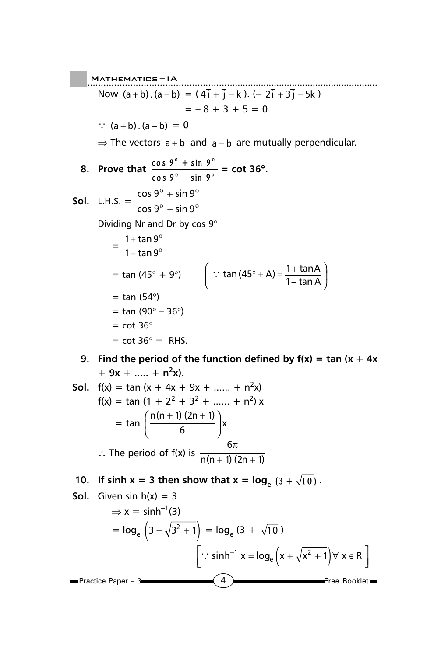..................................................... Mathematics ......................................................... – IA Now  $(a + b) \cdot (a - b) = (4i + j - k) \cdot (-2i + 3j - 5k)$  $=-8 + 3 + 5 = 0$  $\therefore$   $(\overline{a} + \overline{b}) \cdot (\overline{a} - \overline{b}) = 0$  $\Rightarrow$  The vectors  $\bar{a} + \bar{b}$  and  $\bar{a} - \bar{b}$  are mutually perpendicular. **8.** Prove that  $\frac{\cos 9^{\circ} + \sin 9^{\circ}}{\cos 9^{\circ} - \sin 9^{\circ}}$  $^{\circ}$   $-$  cin  $\mathbf{0}^{\, \circ}$ **cos 9 + sin 9 cos 9 sin 9 = cot 36**°**. Sol.** L.H.S. =  $\frac{\cos 9^{\circ} + \sin 9}{\cos 9^{\circ} + \sin 9}$ cos 9 $^{\rm o}$  – sin 9  $0 + \sin 90$ <sup>0</sup> cin  $0^0$ + − Dividing Nr and Dr by cos 9°  $= \frac{1+\tan 9}{1-\tan 9}$ ο ο + − = tan (45° + 9°)  $\qquad \qquad \left( \begin{array}{cc} \therefore & \tan \left( 45^{\circ} + \textsf{A} \right) = \frac{1 + \tan \textsf{A}}{1 - \tan \textsf{A}} \end{array} \right)$  $($   $1$ −  $\tan A$  $=$  tan (54 $\degree$ )  $=$  tan (90 $^{\circ}$  – 36 $^{\circ}$ )  $=$  cot 36 $^{\circ}$  $=$  cot 36 $^{\circ}$  = RHS. **9. Find the period of the function defined by**  $f(x) = \tan(x + 4x)$  $+9x + \dots + n^2x$ .

**Sol.** 
$$
f(x) = \tan (x + 4x + 9x + \dots + n^{2}x)
$$

\n
$$
f(x) = \tan (1 + 2^{2} + 3^{2} + \dots + n^{2})x
$$

\n
$$
= \tan \left( \frac{n(n+1)(2n+1)}{6} \right)x
$$

\n
$$
\therefore \text{ The period of } f(x) \text{ is } \frac{6\pi}{n(n+1)(2n+1)}
$$

**10.** If sinh  $x = 3$  then show that  $x = \log_{e} (3 + \sqrt{10})$ .

**Sol.** Given sin h(x) = 3

\n
$$
\Rightarrow x = \sinh^{-1}(3)
$$
\n
$$
= \log_e \left(3 + \sqrt{3^2 + 1}\right) = \log_e \left(3 + \sqrt{10}\right)
$$
\n
$$
\left[\because \sinh^{-1} x = \log_e \left(x + \sqrt{x^2 + 1}\right) \forall x \in \mathbb{R}\right]
$$
\nPractice Paper - 3

\n**4**

\nFree Booklet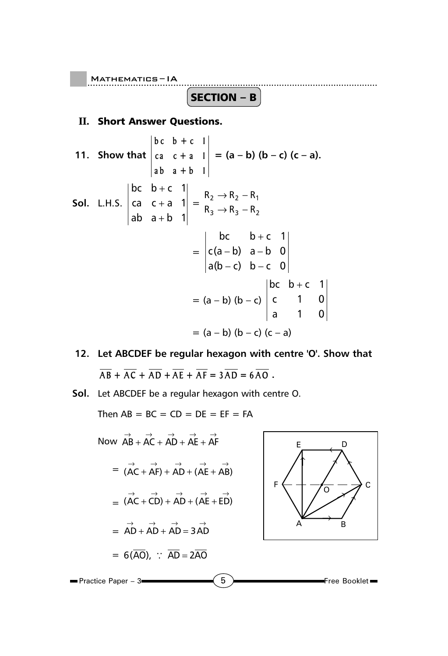$\overline{\textbf{(SECTION - B)}}$ 

## **II.** Short Answer Questions.

**11. Show that bc b +c 1 ca c + a 1 ab a +b 1**  $= (a - b) (b - c) (c - a).$ **Sol.** L.H.S. bc  $b+c$  1 cac+a1 ab a+b 1 + + +  $=\frac{n_2 - n_2 - n_1}{n}$  $_3$   $\rightarrow$   $_3$   $_2$  $R_2 \rightarrow R_2 - R$  $R_3 \rightarrow R_3 - R$  $\rightarrow$  R<sub>2</sub> –  $\rightarrow$  R<sub>3</sub> – = bc  $b+c$  1 c(a–b) a–b 0 a(b – c) b – c 0 + − b) a –  $= (a - b) (b - c)$ bc  $b+c$  1 c 1 0 a 1 0 +  $= (a - b) (b - c) (c - a)$ 

- **12. Let ABCDEF be regular hexagon with centre 'O'. Show that**  $\overline{AB} + \overline{AC} + \overline{AD} + \overline{AE} + \overline{AF} = 3\overline{AD} = 6\overline{AO}$ .
- **Sol.** Let ABCDEF be a regular hexagon with centre O.

Then  $AB = BC = CD = DE = EF = FA$ 

Now 
$$
\overrightarrow{AB} + \overrightarrow{AC} + \overrightarrow{AD} + \overrightarrow{AE} + \overrightarrow{AF}
$$
  
\n
$$
= (\overrightarrow{AC} + \overrightarrow{AF}) + \overrightarrow{AD} + (\overrightarrow{AE} + \overrightarrow{AB})
$$
\n
$$
= (\overrightarrow{AC} + \overrightarrow{CD}) + \overrightarrow{AD} + (\overrightarrow{AE} + \overrightarrow{ED})
$$
\n
$$
= \overrightarrow{AD} + \overrightarrow{AD} + \overrightarrow{AD} = 3 \overrightarrow{AD}
$$
\n
$$
= 6(\overrightarrow{AO}), \therefore \overrightarrow{AD} = 2\overrightarrow{AO}
$$
\nPractice Paper - 3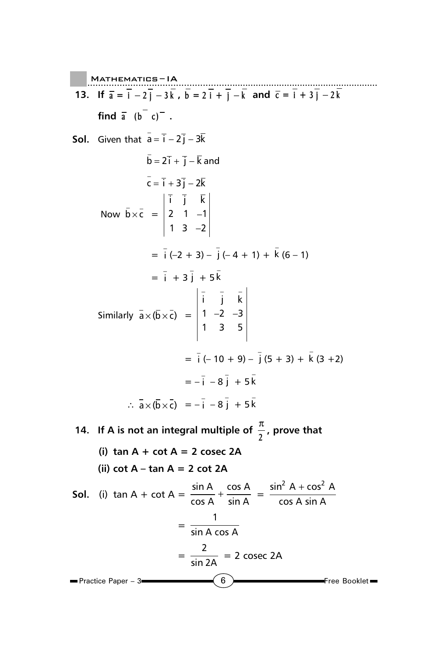$(6)$  Free Booklet ..................................................... Mathematics ......................................................... – IA Practice Paper – 3 **13.** If  $\bar{a} = i - 2j - 3k$ ,  $b = 2i + j - k$  and  $\bar{c} = i + 3j - 2k$ **find**  $\overline{a}$   $(b - c)$  **. Sol.** Given that  $\bar{a} = \bar{i} - 2\bar{j} - 3\bar{k}$  $\bar{\mathsf{b}} = 2\bar{\mathsf{i}} + \bar{\mathsf{j}} - \bar{\mathsf{k}}$  and  $\overline{\mathsf{c}} = \overline{\mathsf{i}} + 3\overline{\mathsf{j}} - 2\overline{\mathsf{k}}$ Now  $\bar{b} \times \bar{c} = \begin{vmatrix} 2 & 1 & -1 \end{vmatrix}$ − ijk  $2 \t1 -1$  $1 \t3 \t -2$  $=\overline{i} (-2 + 3) - \overline{j} (-4 + 1) + \overline{k} (6 - 1)$  $= \bar{i} + 3 \bar{j} + 5 \bar{k}$ Similarly  $a \times (b \times c) =$ −− − −2 − ijk  $1 -2 -3$  $1 \quad 3 \quad 5$  $=\overline{i}$  (-10 + 9) -  $\overline{j}$  (5 + 3) +  $\overline{k}$  (3 + 2)  $=-\bar{i} - 8\bar{j} + 5\bar{k}$  $\therefore \vec{a} \times (\vec{b} \times \vec{c}) = -\vec{i} - 8\vec{j} + 5\vec{k}$ **14.** If A is not an integral multiple of  $\frac{\pi}{2}$ , prove that **(i) tan A + cot A = 2 cosec 2A (ii) cot A – tan A = 2 cot 2A Sol.** (i)  $\tan A + \cot A = \frac{\sin A}{A} + \frac{\cos A}{A}$  $\frac{\sin A}{\cos A} + \frac{\cos A}{\sin A} = \frac{\sin^2 A + \cos^2 A}{\cos A \sin A}$ cos A sin A +  $=$   $\frac{1}{\sin A \cos A}$  $=\frac{2}{\sin 2A}$  = 2 cosec 2A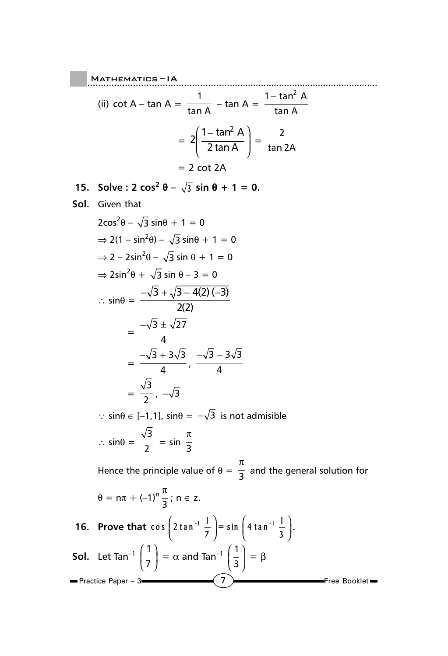.....................................................  $M$ ATHEMATICS – IA (ii) cot A – tan A =  $\frac{1}{1}$  $\frac{1}{\tan A}$  – tan A =  $\frac{1-\tan^2 A}{\tan A}$ tan A −  $= 2\left(\frac{1-\tan^2 A}{2\tan A}\right)$  $($   $2 \tan A$   $)$  $=\frac{2}{\tan 2A}$  $= 2$  cot 2A

**15.** Solve:  $2 \cos^2 \theta - \sqrt{3} \sin \theta + 1 = 0$ .

**Sol.** Given that

$$
2\cos^2\theta - \sqrt{3}\sin\theta + 1 = 0
$$
  
\n
$$
\Rightarrow 2(1 - \sin^2\theta) - \sqrt{3}\sin\theta + 1 = 0
$$
  
\n
$$
\Rightarrow 2 - 2\sin^2\theta - \sqrt{3}\sin\theta + 1 = 0
$$
  
\n
$$
\Rightarrow 2\sin^2\theta + \sqrt{3}\sin\theta - 3 = 0
$$
  
\n
$$
\therefore \sin\theta = \frac{-\sqrt{3} + \sqrt{3} - 4(2)(-3)}{2(2)}
$$
  
\n
$$
= \frac{-\sqrt{3} \pm \sqrt{27}}{4}
$$
  
\n
$$
= \frac{-\sqrt{3} + 3\sqrt{3}}{4}, \frac{-\sqrt{3} - 3\sqrt{3}}{4}
$$
  
\n
$$
= \frac{\sqrt{3}}{2}, -\sqrt{3}
$$

 $\therefore$  sin $\theta \in [-1,1]$ , sin $\theta = -\sqrt{3}$  is not admisible ∴ sin $\theta = \frac{\sqrt{3}}{2}$  = sin  $\frac{\pi}{3}$ π

Hence the principle value of  $\theta = \frac{1}{3}$ π and the general solution for  $\theta = n\pi + (-1)^n \frac{\pi}{3}$  $\frac{\pi}{2}$ ; n  $\in$  z.

16. Prove that 
$$
\cos\left(2\tan^{-1}\frac{1}{7}\right) = \sin\left(4\tan^{-1}\frac{1}{3}\right)
$$
.  
\n**Sol.** Let  $\tan^{-1}\left(\frac{1}{7}\right) = \alpha$  and  $\tan^{-1}\left(\frac{1}{3}\right) = \beta$   
\n• Practice Paper - 3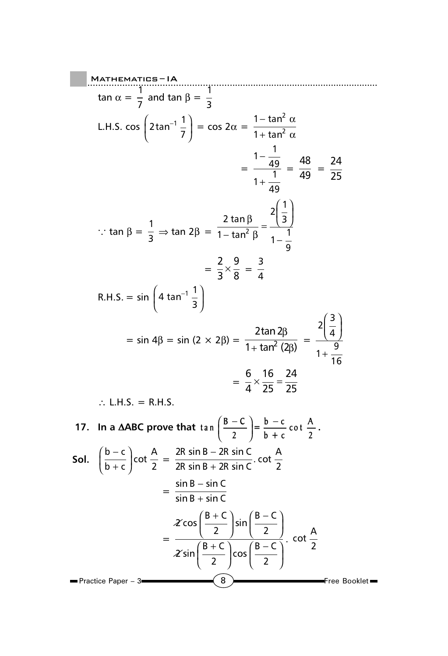$$
MATHEMATIES = IA
$$
  
\n
$$
\tan \alpha = \frac{1}{7} \text{ and } \tan \beta = \frac{1}{3}
$$
  
\nL.H.S. cos  $\left(2 \tan^{-1} \frac{1}{7}\right) = \cos 2\alpha = \frac{1 - \tan^2 \alpha}{1 + \tan^2 \alpha}$   
\n
$$
= \frac{1 - \frac{1}{49}}{1 + \frac{1}{49}} = \frac{48}{49} = \frac{24}{25}
$$
  
\n∴ tan  $\beta = \frac{1}{3} \Rightarrow \tan 2\beta = \frac{2 \tan \beta}{1 - \tan^2 \beta} = \frac{2(\frac{1}{3})}{1 - \frac{1}{9}}$   
\n
$$
= \frac{2}{3} \times \frac{9}{8} = \frac{3}{4}
$$
  
\nR.H.S. = sin  $\left(4 \tan^{-1} \frac{1}{3}\right)$   
\n
$$
= \sin 4\beta = \sin (2 \times 2\beta) = \frac{2 \tan 2\beta}{1 + \tan^2(2\beta)} = \frac{2(\frac{3}{4})}{1 + \frac{9}{16}}
$$
  
\n
$$
= \frac{6}{4} \times \frac{16}{25} = \frac{24}{25}
$$
  
\n∴ L.H.S. = R.H.S.  
\n17. In a ΔABC prove that tan  $\left(\frac{B - C}{2}\right) = \frac{b - c}{b + c} \cot \frac{A}{2}$ .  
\nSoI.  $\left(\frac{b - c}{b + c}\right) \cot \frac{A}{2} = \frac{2R \sin B - 2R \sin C}{2R \sin B + 2R \sin C} \cdot \cot \frac{A}{2}$   
\n
$$
= \frac{\sin B - \sin C}{\sin B + \sin C}
$$
  
\n
$$
= \frac{2 \cos \left(\frac{B + C}{2}\right) \sin \left(\frac{B - C}{2}\right)}{\frac{2 \sin \left(\frac{B + C}{2}\right) \cos \left(\frac{B - C}{2}\right)}{\frac{2}{2}} \cdot \cot \frac{A}{2}
$$
  
\n
$$
= \frac{4 \cos \left(\frac{B + C}{2}\right) \sin \left(\frac{B - C}{2}\right)}{\frac{2 \cos \left(\frac{B - C}{2}\right)}{\frac{B - C}{2}} \cdot
$$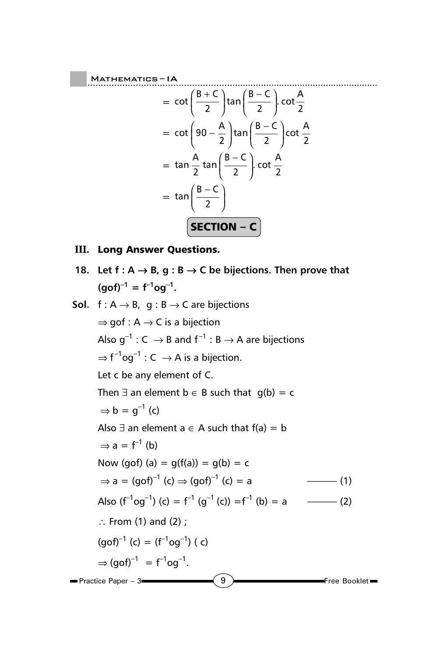$$
= \cot\left(\frac{B+C}{2}\right)\tan\left(\frac{B-C}{2}\right)\cot\frac{A}{2}
$$

$$
= \cot\left(90 - \frac{A}{2}\right)\tan\left(\frac{B-C}{2}\right)\cot\frac{A}{2}
$$

$$
= \tan\frac{A}{2}\tan\left(\frac{B-C}{2}\right)\cot\frac{A}{2}
$$

$$
= \tan\left(\frac{B-C}{2}\right)
$$

$$
\boxed{\text{SECTION } -C}
$$

## **III.** Long Answer Questions.

18. Let f : A → B, g : B → C be bijections. Then prove that 
$$
(gof)^{-1} = f^{-1}og^{-1}
$$
.

**Sol.** f : A → B, g : B → C are bijections  
\n
$$
\Rightarrow
$$
 gof : A → C is a bijection  
\nAlso g<sup>-1</sup> : C → B and f<sup>-1</sup> : B → A are bijections  
\n $\Rightarrow$  f<sup>-1</sup>og<sup>-1</sup> : C → A is a bijection.  
\nLet c be any element of C.  
\nThen  $\exists$  an element b ∈ B such that g(b) = c  
\n $\Rightarrow$  b = g<sup>-1</sup> (c)  
\nAlso  $\exists$  an element a ∈ A such that f(a) = b  
\n $\Rightarrow$  a = f<sup>-1</sup> (b)  
\nNow (gof) (a) = g(f(a)) = g(b) = c  
\n $\Rightarrow$  a = (gof)<sup>-1</sup> (c)  $\Rightarrow$  (gof)<sup>-1</sup> (c) = a  
\nAlso (f<sup>-1</sup>og<sup>-1</sup>) (c) = f<sup>-1</sup> (g<sup>-1</sup> (c)) = f<sup>-1</sup> (b) = a  
\n∴ From (1) and (2);  
\n(gof)<sup>-1</sup> (c) = (f<sup>-1</sup>og<sup>-1</sup>) (c)  
\n $\Rightarrow$  (gof)<sup>-1</sup> = f<sup>-1</sup>og<sup>-1</sup>.  
\n  
\nPractice Paper - 3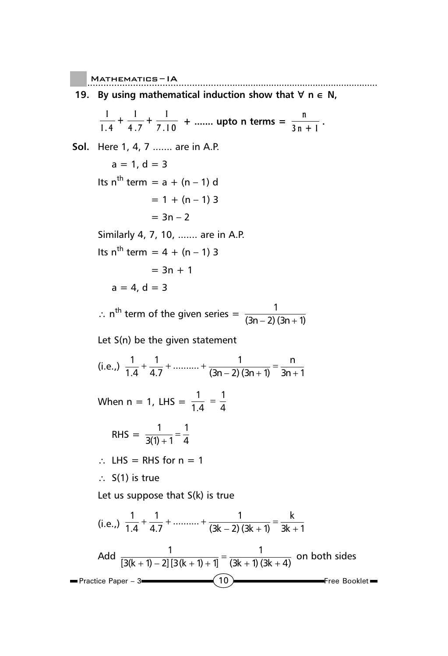**19. By using mathematical induction show that** ∀ **n** ∈ **N,**

$$
\frac{1}{1.4} + \frac{1}{4.7} + \frac{1}{7.10} + \dots
$$
 upto n terms =  $\frac{n}{3n + 1}$ .

10 Free Booklet Practice Paper – 3 **Sol.** Here 1, 4, 7 ....... are in A.P.  $a = 1, d = 3$ Its  $n^{th}$  term =  $a + (n - 1)$  d  $= 1 + (n - 1)$  3  $= 3n - 2$ Similarly 4, 7, 10, ....... are in A.P. Its  $n^{th}$  term = 4 + (n – 1) 3  $= 3n + 1$  $a = 4$ ,  $d = 3$ ∴ n<sup>th</sup> term of the given series =  $\frac{1}{(3n-2)(3n+1)}$  $(3n - 2)$   $(3n + 1)$ Let S(n) be the given statement (i.e.,)  $\frac{1}{1.4} + \frac{1}{4.7} + \dots + \frac{1}{(3n-2)(3n+1)} = \frac{n}{3n+1}$ When n = 1, LHS =  $\frac{1}{1.4}$  =  $\frac{1}{4}$ RHS =  $\frac{1}{3(1) + 1} = \frac{1}{4}$  $3(1) + 1$  4 ∴ LHS = RHS for n = 1 ∴ S(1) is true Let us suppose that S(k) is true (i.e.,)  $\frac{1}{1.4} + \frac{1}{4.7} + \dots + \frac{1}{(3k-2)(3k+1)} = \frac{k}{3k+1}$ Add  $\frac{1}{[3(k+1)-2][3(k+1)+1]} = \frac{1}{(3k+1)(3k+4)}$  on both sides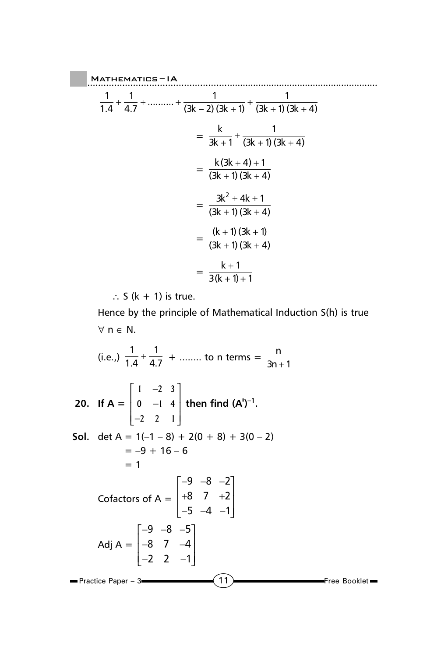$$
\frac{1}{1.4} + \frac{1}{4.7} + \dots + \frac{1}{(3k-2)(3k+1)} + \frac{1}{(3k+1)(3k+4)}
$$
  
=  $\frac{k}{3k+1} + \frac{1}{(3k+1)(3k+4)}$   
=  $\frac{k(3k+4)+1}{(3k+1)(3k+4)}$   
=  $\frac{3k^2 + 4k + 1}{(3k+1)(3k+4)}$   
=  $\frac{(k+1)(3k+1)}{(3k+1)(3k+4)}$   
=  $\frac{k+1}{3(k+1)+1}$ 

∴ S  $(k + 1)$  is true.

Hence by the principle of Mathematical Induction S(h) is true ∀ n ∈ N.

 $\left(11\right)$  Free Booklet  $\blacksquare$  Practice Paper – 3 $\blacksquare$ (i.e.,)  $\frac{1}{1.4} + \frac{1}{4.7} + \dots$  to n terms =  $\frac{n}{3n+1}$  $\mathsf{n}$  $3n + 1$ **20. If A =**   $1 -2 3$ **0** -1 4 **221**  $\begin{vmatrix} 1 & -2 & 3 \end{vmatrix}$  $\begin{vmatrix} 0 & -1 & 4 \end{vmatrix}$  $\begin{bmatrix} -2 & 2 & 1 \end{bmatrix}$ then find  $(A')^{-1}$ . **Sol.** det  $A = 1(-1 - 8) + 2(0 + 8) + 3(0 - 2)$  $=-9 + 16 - 6$  $= 1$ Cofactors of  $A =$  $9 - 8 - 2$  $8$  7 +2  $5 -4 -1$  −−−  $+8$  7  $+2$  −−− Adj A =  $9 - 8 - 5$ 8 7 –4  $2 \t2 \t-1$  −−−  $\begin{vmatrix} -8 & 7 & -4 \end{vmatrix}$  $\begin{bmatrix} -2 & 2 & -1 \end{bmatrix}$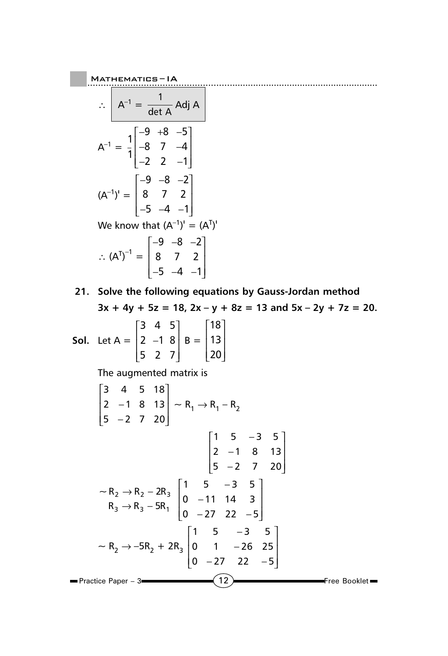Mathematics—IA

\n
$$
\therefore \quad A^{-1} = \frac{1}{\det A} \text{Adj } A
$$
\n
$$
A^{-1} = \frac{1}{1} \begin{bmatrix} -9 & +8 & -5 \\ -8 & 7 & -4 \\ -2 & 2 & -1 \end{bmatrix}
$$
\n
$$
(A^{-1})^{1} = \begin{bmatrix} -9 & -8 & -2 \\ 8 & 7 & 2 \\ -5 & -4 & -1 \end{bmatrix}
$$
\nWe know that

\n
$$
(A^{-1})^{1} = (A^{T})^{1}
$$
\n
$$
\therefore (A^{T})^{-1} = \begin{bmatrix} -9 & -8 & -2 \\ 8 & 7 & 2 \\ -5 & -4 & -1 \end{bmatrix}
$$

**21. Solve the following equations by Gauss-Jordan method**  $3x + 4y + 5z = 18$ ,  $2x - y + 8z = 13$  and  $5x - 2y + 7z = 20$ .

**Sol.** Let 
$$
A = \begin{bmatrix} 3 & 4 & 5 \\ 2 & -1 & 8 \\ 5 & 2 & 7 \end{bmatrix}
$$
  $B = \begin{bmatrix} 18 \\ 13 \\ 20 \end{bmatrix}$ 

The augmented matrix is

$$
\begin{bmatrix} 3 & 4 & 5 & 18 \ 2 & -1 & 8 & 13 \ 5 & -2 & 7 & 20 \ \end{bmatrix} \sim R_1 \rightarrow R_1 - R_2
$$
  

$$
\begin{bmatrix} 1 & 5 & -3 & 5 \ 2 & -1 & 8 & 13 \ 5 & -2 & 7 & 20 \ \end{bmatrix}
$$
  

$$
\sim R_2 \rightarrow R_2 - 2R_3 \begin{bmatrix} 1 & 5 & -3 & 5 \ 0 & -11 & 14 & 3 \ 0 & -27 & 22 & -5 \ \end{bmatrix}
$$
  

$$
\sim R_2 \rightarrow -5R_2 + 2R_3 \begin{bmatrix} 1 & 5 & -3 & 5 \ 0 & -27 & 22 & -5 \ \end{bmatrix}
$$
  

$$
\sim R_2 \rightarrow -5R_2 + 2R_3 \begin{bmatrix} 1 & 5 & -3 & 5 \ 0 & 1 & -26 & 25 \ 0 & -27 & 22 & -5 \ \end{bmatrix}
$$
  
  
Practice Paper - 3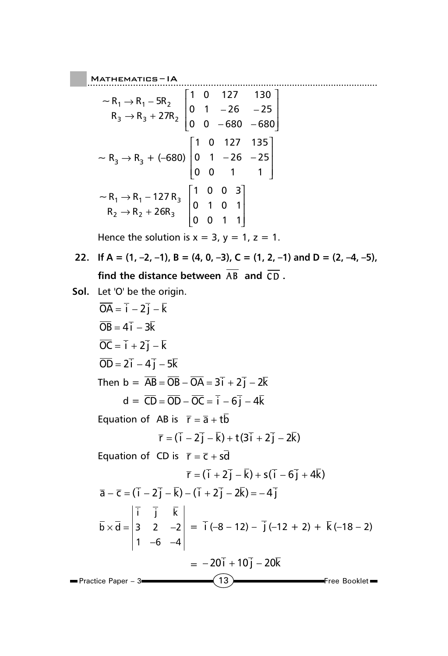**MATHEMATICS-IA** 

$$
\begin{bmatrix}\n-R_1 \rightarrow R_1 - 5R_2 \\
R_3 \rightarrow R_3 + 27R_2\n\end{bmatrix}\n\begin{bmatrix}\n1 & 0 & 127 & 130 \\
0 & 1 & -26 & -25 \\
0 & 0 & -680 & -680\n\end{bmatrix}
$$
\n
$$
\begin{bmatrix}\n1 & 0 & 127 & 135 \\
0 & 1 & -26 & -25 \\
0 & 0 & 1 & 1\n\end{bmatrix}
$$
\n
$$
\begin{bmatrix}\n1 & 0 & 127 & 135 \\
0 & 1 & -26 & -25 \\
0 & 0 & 1 & 1\n\end{bmatrix}
$$
\n
$$
\begin{bmatrix}\n1 & 0 & 0 & 3 \\
0 & 1 & 0 & 1 \\
0 & 0 & 1 & 1\n\end{bmatrix}
$$

Hence the solution is  $x = 3$ ,  $y = 1$ ,  $z = 1$ .

22. If  $A = (1, -2, -1)$ ,  $B = (4, 0, -3)$ ,  $C = (1, 2, -1)$  and  $D = (2, -4, -5)$ , **find the distance between**  $\overline{AB}$  and  $\overline{CD}$ .

Mathematics ......................................................... – IA

**Sol.** Let 'O' be the origin.

$$
\overline{OA} = \overline{i} - 2\overline{j} - \overline{k}
$$
\n
$$
\overline{OB} = 4\overline{i} - 3\overline{k}
$$
\n
$$
\overline{OC} = \overline{i} + 2\overline{j} - \overline{k}
$$
\n
$$
\overline{OD} = 2\overline{i} - 4\overline{j} - 5\overline{k}
$$
\nThen b =  $\overline{AB} = \overline{OB} - \overline{OA} = 3\overline{i} + 2\overline{j} - 2\overline{k}$   
\n
$$
d = \overline{CD} = \overline{OD} - \overline{OC} = \overline{i} - 6\overline{j} - 4\overline{k}
$$
\nEquation of AB is  $\overline{r} = \overline{a} + t\overline{b}$   
\n
$$
\overline{r} = (\overline{i} - 2\overline{j} - \overline{k}) + t(3\overline{i} + 2\overline{j} - 2\overline{k})
$$
\nEquation of CD is  $\overline{r} = \overline{c} + s\overline{d}$   
\n
$$
\overline{r} = (\overline{i} + 2\overline{j} - \overline{k}) + s(\overline{i} - 6\overline{j} + 4\overline{k})
$$
\n
$$
\overline{a} - \overline{c} = (\overline{i} - 2\overline{j} - \overline{k}) - (\overline{i} + 2\overline{j} - 2\overline{k}) = -4\overline{j}
$$
\n
$$
\overline{b} \times \overline{d} = \begin{vmatrix} \overline{i} & \overline{j} & \overline{k} \\ 3 & 2 & -2 \\ 1 & -6 & -4 \end{vmatrix} = \overline{i} (-8 - 12) - \overline{j} (-12 + 2) + \overline{k} (-18 - 2)
$$
\nPractice Paper - 3\n
$$
\begin{array}{r|rrr}\n\end{array}
$$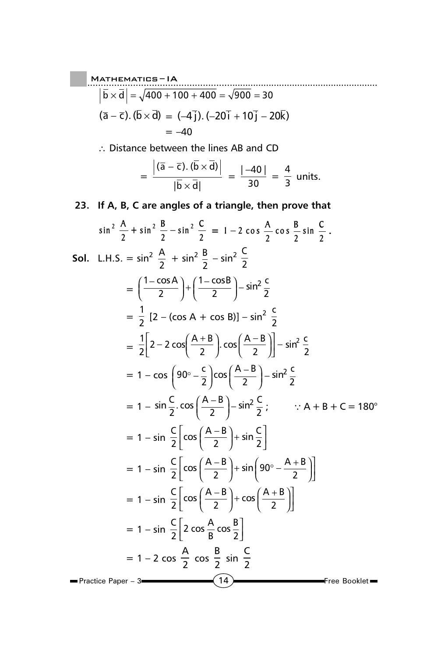MATHEMATIES – IA

\n
$$
\left| \overline{b} \times \overline{d} \right| = \sqrt{400 + 100 + 400} = \sqrt{900} = 30
$$
\n
$$
\left( \overline{a} - \overline{c} \right). \left( \overline{b} \times \overline{d} \right) = (-4 \overline{j}). (-20\overline{i} + 10\overline{j} - 20\overline{k})
$$
\n
$$
= -40
$$

∴ Distance between the lines AB and CD

$$
= \frac{\left| \left( \overline{a} - \overline{c} \right) \cdot \left( b \times d \right) \right|}{\left| \overline{b} \times \overline{d} \right|} = \frac{\left| -40 \right|}{30} = \frac{4}{3} \text{ units.}
$$

**23. If A, B, C are angles of a triangle, then prove that**

$$
\sin^2 \frac{A}{2} + \sin^2 \frac{B}{2} - \sin^2 \frac{C}{2} = 1 - 2 \cos \frac{A}{2} \cos \frac{B}{2} \sin \frac{C}{2}.
$$
  
\n**Sol.** L.H.S. =  $\sin^2 \frac{A}{2} + \sin^2 \frac{B}{2} - \sin^2 \frac{C}{2}$   
\n
$$
= \left(\frac{1 - \cos A}{2}\right) + \left(\frac{1 - \cos B}{2}\right) - \sin^2 \frac{C}{2}
$$
  
\n
$$
= \frac{1}{2} [2 - (\cos A + \cos B)] - \sin^2 \frac{C}{2}
$$
  
\n
$$
= \frac{1}{2} [2 - 2 \cos \left(\frac{A + B}{2}\right) \cos \left(\frac{A - B}{2}\right)] - \sin^2 \frac{C}{2}
$$
  
\n
$$
= 1 - \cos \left(90^\circ - \frac{C}{2}\right) \cos \left(\frac{A - B}{2}\right) - \sin^2 \frac{C}{2}.
$$
  
\n
$$
= 1 - \sin \frac{C}{2} \cos \left(\frac{A - B}{2}\right) - \sin^2 \frac{C}{2}; \qquad \because A + B + C = 180^\circ
$$
  
\n
$$
= 1 - \sin \frac{C}{2} \left[ \cos \left(\frac{A - B}{2}\right) + \sin \frac{C}{2} \right]
$$
  
\n
$$
= 1 - \sin \frac{C}{2} \left[ \cos \left(\frac{A - B}{2}\right) + \sin \left(90^\circ - \frac{A + B}{2}\right) \right]
$$
  
\n
$$
= 1 - \sin \frac{C}{2} \left[ 2 \cos \frac{A}{B} \cos \frac{B}{2} \right]
$$
  
\n
$$
= 1 - 2 \cos \frac{A}{2} \cos \frac{B}{2} \sin \frac{C}{2}
$$
  
\n**Practice Paper - 3**